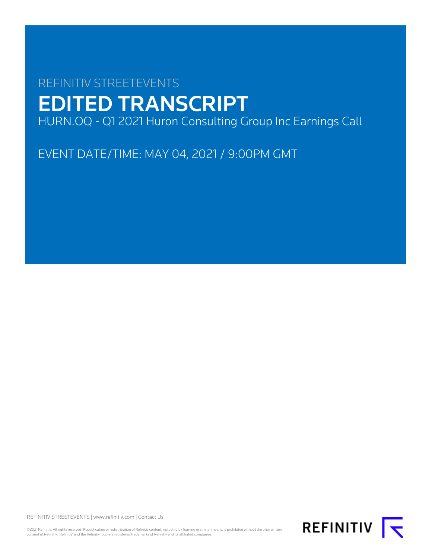# REFINITIV STREETEVENTS EDITED TRANSCRIPT HURN.OQ - Q1 2021 Huron Consulting Group Inc Earnings Call

EVENT DATE/TIME: MAY 04, 2021 / 9:00PM GMT

REFINITIV STREETEVENTS | [www.refinitiv.com](https://www.refinitiv.com/) | [Contact Us](https://www.refinitiv.com/en/contact-us)

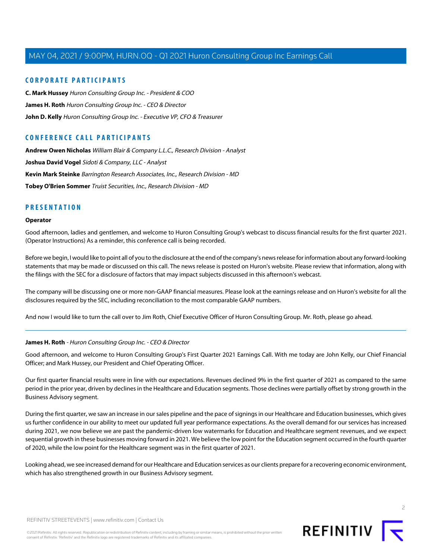### **CORPORATE PARTICIPANTS**

**[C. Mark Hussey](#page-11-0)** Huron Consulting Group Inc. - President & COO **[James H. Roth](#page-1-0)** Huron Consulting Group Inc. - CEO & Director **[John D. Kelly](#page-4-0)** Huron Consulting Group Inc. - Executive VP, CFO & Treasurer

## **CONFERENCE CALL PARTICIPANTS**

**[Andrew Owen Nicholas](#page-8-0)** William Blair & Company L.L.C., Research Division - Analyst **[Joshua David Vogel](#page-12-0)** Sidoti & Company, LLC - Analyst **[Kevin Mark Steinke](#page-10-0)** Barrington Research Associates, Inc., Research Division - MD **[Tobey O'Brien Sommer](#page-6-0)** Truist Securities, Inc., Research Division - MD

### **PRESENTATION**

### **Operator**

Good afternoon, ladies and gentlemen, and welcome to Huron Consulting Group's webcast to discuss financial results for the first quarter 2021. (Operator Instructions) As a reminder, this conference call is being recorded.

Before we begin, I would like to point all of you to the disclosure at the end of the company's news release for information about any forward-looking statements that may be made or discussed on this call. The news release is posted on Huron's website. Please review that information, along with the filings with the SEC for a disclosure of factors that may impact subjects discussed in this afternoon's webcast.

The company will be discussing one or more non-GAAP financial measures. Please look at the earnings release and on Huron's website for all the disclosures required by the SEC, including reconciliation to the most comparable GAAP numbers.

<span id="page-1-0"></span>And now I would like to turn the call over to Jim Roth, Chief Executive Officer of Huron Consulting Group. Mr. Roth, please go ahead.

### **James H. Roth** - Huron Consulting Group Inc. - CEO & Director

Good afternoon, and welcome to Huron Consulting Group's First Quarter 2021 Earnings Call. With me today are John Kelly, our Chief Financial Officer; and Mark Hussey, our President and Chief Operating Officer.

Our first quarter financial results were in line with our expectations. Revenues declined 9% in the first quarter of 2021 as compared to the same period in the prior year, driven by declines in the Healthcare and Education segments. Those declines were partially offset by strong growth in the Business Advisory segment.

During the first quarter, we saw an increase in our sales pipeline and the pace of signings in our Healthcare and Education businesses, which gives us further confidence in our ability to meet our updated full year performance expectations. As the overall demand for our services has increased during 2021, we now believe we are past the pandemic-driven low watermarks for Education and Healthcare segment revenues, and we expect sequential growth in these businesses moving forward in 2021. We believe the low point for the Education segment occurred in the fourth quarter of 2020, while the low point for the Healthcare segment was in the first quarter of 2021.

Looking ahead, we see increased demand for our Healthcare and Education services as our clients prepare for a recovering economic environment, which has also strengthened growth in our Business Advisory segment.

 $\overline{2}$ 

REFINITIV STREETEVENTS | [www.refinitiv.com](https://www.refinitiv.com/) | [Contact Us](https://www.refinitiv.com/en/contact-us)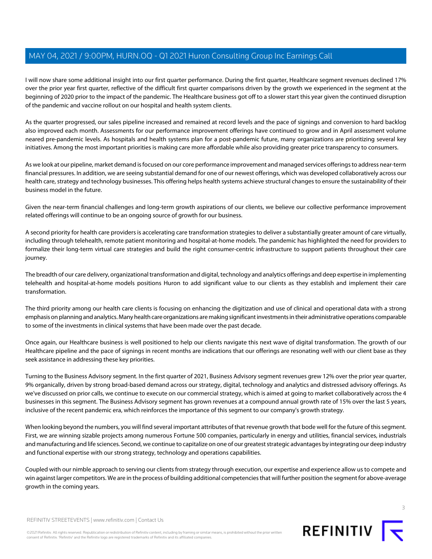I will now share some additional insight into our first quarter performance. During the first quarter, Healthcare segment revenues declined 17% over the prior year first quarter, reflective of the difficult first quarter comparisons driven by the growth we experienced in the segment at the beginning of 2020 prior to the impact of the pandemic. The Healthcare business got off to a slower start this year given the continued disruption of the pandemic and vaccine rollout on our hospital and health system clients.

As the quarter progressed, our sales pipeline increased and remained at record levels and the pace of signings and conversion to hard backlog also improved each month. Assessments for our performance improvement offerings have continued to grow and in April assessment volume neared pre-pandemic levels. As hospitals and health systems plan for a post-pandemic future, many organizations are prioritizing several key initiatives. Among the most important priorities is making care more affordable while also providing greater price transparency to consumers.

As we look at our pipeline, market demand is focused on our core performance improvement and managed services offerings to address near-term financial pressures. In addition, we are seeing substantial demand for one of our newest offerings, which was developed collaboratively across our health care, strategy and technology businesses. This offering helps health systems achieve structural changes to ensure the sustainability of their business model in the future.

Given the near-term financial challenges and long-term growth aspirations of our clients, we believe our collective performance improvement related offerings will continue to be an ongoing source of growth for our business.

A second priority for health care providers is accelerating care transformation strategies to deliver a substantially greater amount of care virtually, including through telehealth, remote patient monitoring and hospital-at-home models. The pandemic has highlighted the need for providers to formalize their long-term virtual care strategies and build the right consumer-centric infrastructure to support patients throughout their care journey.

The breadth of our care delivery, organizational transformation and digital, technology and analytics offerings and deep expertise in implementing telehealth and hospital-at-home models positions Huron to add significant value to our clients as they establish and implement their care transformation.

The third priority among our health care clients is focusing on enhancing the digitization and use of clinical and operational data with a strong emphasis on planning and analytics. Many health care organizations are making significant investments in their administrative operations comparable to some of the investments in clinical systems that have been made over the past decade.

Once again, our Healthcare business is well positioned to help our clients navigate this next wave of digital transformation. The growth of our Healthcare pipeline and the pace of signings in recent months are indications that our offerings are resonating well with our client base as they seek assistance in addressing these key priorities.

Turning to the Business Advisory segment. In the first quarter of 2021, Business Advisory segment revenues grew 12% over the prior year quarter, 9% organically, driven by strong broad-based demand across our strategy, digital, technology and analytics and distressed advisory offerings. As we've discussed on prior calls, we continue to execute on our commercial strategy, which is aimed at going to market collaboratively across the 4 businesses in this segment. The Business Advisory segment has grown revenues at a compound annual growth rate of 15% over the last 5 years, inclusive of the recent pandemic era, which reinforces the importance of this segment to our company's growth strategy.

When looking beyond the numbers, you will find several important attributes of that revenue growth that bode well for the future of this segment. First, we are winning sizable projects among numerous Fortune 500 companies, particularly in energy and utilities, financial services, industrials and manufacturing and life sciences. Second, we continue to capitalize on one of our greatest strategic advantages by integrating our deep industry and functional expertise with our strong strategy, technology and operations capabilities.

Coupled with our nimble approach to serving our clients from strategy through execution, our expertise and experience allow us to compete and win against larger competitors. We are in the process of building additional competencies that will further position the segment for above-average growth in the coming years.

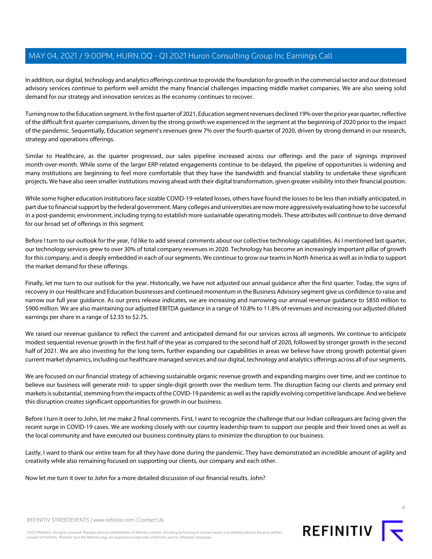In addition, our digital, technology and analytics offerings continue to provide the foundation for growth in the commercial sector and our distressed advisory services continue to perform well amidst the many financial challenges impacting middle market companies. We are also seeing solid demand for our strategy and innovation services as the economy continues to recover.

Turning now to the Education segment. In the first quarter of 2021, Education segment revenues declined 19% over the prior year quarter, reflective of the difficult first quarter comparisons, driven by the strong growth we experienced in the segment at the beginning of 2020 prior to the impact of the pandemic. Sequentially, Education segment's revenues grew 7% over the fourth quarter of 2020, driven by strong demand in our research, strategy and operations offerings.

Similar to Healthcare, as the quarter progressed, our sales pipeline increased across our offerings and the pace of signings improved month-over-month. While some of the larger ERP-related engagements continue to be delayed, the pipeline of opportunities is widening and many institutions are beginning to feel more comfortable that they have the bandwidth and financial stability to undertake these significant projects. We have also seen smaller institutions moving ahead with their digital transformation, given greater visibility into their financial position.

While some higher education institutions face sizable COVID-19-related losses, others have found the losses to be less than initially anticipated, in part due to financial support by the federal government. Many colleges and universities are now more aggressively evaluating how to be successful in a post-pandemic environment, including trying to establish more sustainable operating models. These attributes will continue to drive demand for our broad set of offerings in this segment.

Before I turn to our outlook for the year, I'd like to add several comments about our collective technology capabilities. As I mentioned last quarter, our technology services grew to over 30% of total company revenues in 2020. Technology has become an increasingly important pillar of growth for this company, and is deeply embedded in each of our segments. We continue to grow our teams in North America as well as in India to support the market demand for these offerings.

Finally, let me turn to our outlook for the year. Historically, we have not adjusted our annual guidance after the first quarter. Today, the signs of recovery in our Healthcare and Education businesses and continued momentum in the Business Advisory segment give us confidence to raise and narrow our full year guidance. As our press release indicates, we are increasing and narrowing our annual revenue guidance to \$850 million to \$900 million. We are also maintaining our adjusted EBITDA guidance in a range of 10.8% to 11.8% of revenues and increasing our adjusted diluted earnings per share in a range of \$2.35 to \$2.75.

We raised our revenue guidance to reflect the current and anticipated demand for our services across all segments. We continue to anticipate modest sequential revenue growth in the first half of the year as compared to the second half of 2020, followed by stronger growth in the second half of 2021. We are also investing for the long term, further expanding our capabilities in areas we believe have strong growth potential given current market dynamics, including our healthcare managed services and our digital, technology and analytics offerings across all of our segments.

We are focused on our financial strategy of achieving sustainable organic revenue growth and expanding margins over time, and we continue to believe our business will generate mid- to upper single-digit growth over the medium term. The disruption facing our clients and primary end markets is substantial, stemming from the impacts of the COVID-19 pandemic as well as the rapidly evolving competitive landscape. And we believe this disruption creates significant opportunities for growth in our business.

Before I turn it over to John, let me make 2 final comments. First, I want to recognize the challenge that our Indian colleagues are facing given the recent surge in COVID-19 cases. We are working closely with our country leadership team to support our people and their loved ones as well as the local community and have executed our business continuity plans to minimize the disruption to our business.

Lastly, I want to thank our entire team for all they have done during the pandemic. They have demonstrated an incredible amount of agility and creativity while also remaining focused on supporting our clients, our company and each other.

Now let me turn it over to John for a more detailed discussion of our financial results. John?



4

REFINITIV STREETEVENTS | [www.refinitiv.com](https://www.refinitiv.com/) | [Contact Us](https://www.refinitiv.com/en/contact-us)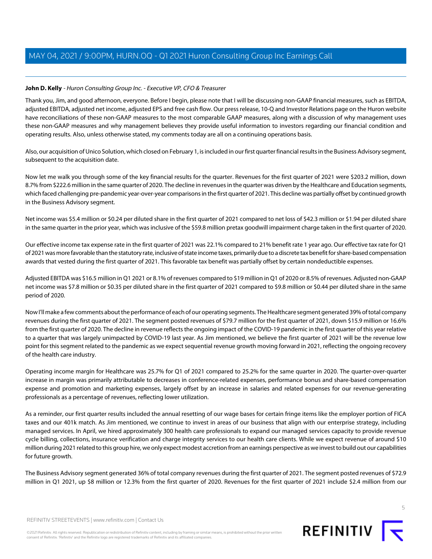### <span id="page-4-0"></span>**John D. Kelly** - Huron Consulting Group Inc. - Executive VP, CFO & Treasurer

Thank you, Jim, and good afternoon, everyone. Before I begin, please note that I will be discussing non-GAAP financial measures, such as EBITDA, adjusted EBITDA, adjusted net income, adjusted EPS and free cash flow. Our press release, 10-Q and Investor Relations page on the Huron website have reconciliations of these non-GAAP measures to the most comparable GAAP measures, along with a discussion of why management uses these non-GAAP measures and why management believes they provide useful information to investors regarding our financial condition and operating results. Also, unless otherwise stated, my comments today are all on a continuing operations basis.

Also, our acquisition of Unico Solution, which closed on February 1, is included in our first quarter financial results in the Business Advisory segment, subsequent to the acquisition date.

Now let me walk you through some of the key financial results for the quarter. Revenues for the first quarter of 2021 were \$203.2 million, down 8.7% from \$222.6 million in the same quarter of 2020. The decline in revenues in the quarter was driven by the Healthcare and Education segments, which faced challenging pre-pandemic year-over-year comparisons in the first quarter of 2021. This decline was partially offset by continued growth in the Business Advisory segment.

Net income was \$5.4 million or \$0.24 per diluted share in the first quarter of 2021 compared to net loss of \$42.3 million or \$1.94 per diluted share in the same quarter in the prior year, which was inclusive of the \$59.8 million pretax goodwill impairment charge taken in the first quarter of 2020.

Our effective income tax expense rate in the first quarter of 2021 was 22.1% compared to 21% benefit rate 1 year ago. Our effective tax rate for Q1 of 2021 was more favorable than the statutory rate, inclusive of state income taxes, primarily due to a discrete tax benefit for share-based compensation awards that vested during the first quarter of 2021. This favorable tax benefit was partially offset by certain nondeductible expenses.

Adjusted EBITDA was \$16.5 million in Q1 2021 or 8.1% of revenues compared to \$19 million in Q1 of 2020 or 8.5% of revenues. Adjusted non-GAAP net income was \$7.8 million or \$0.35 per diluted share in the first quarter of 2021 compared to \$9.8 million or \$0.44 per diluted share in the same period of 2020.

Now I'll make a few comments about the performance of each of our operating segments. The Healthcare segment generated 39% of total company revenues during the first quarter of 2021. The segment posted revenues of \$79.7 million for the first quarter of 2021, down \$15.9 million or 16.6% from the first quarter of 2020. The decline in revenue reflects the ongoing impact of the COVID-19 pandemic in the first quarter of this year relative to a quarter that was largely unimpacted by COVID-19 last year. As Jim mentioned, we believe the first quarter of 2021 will be the revenue low point for this segment related to the pandemic as we expect sequential revenue growth moving forward in 2021, reflecting the ongoing recovery of the health care industry.

Operating income margin for Healthcare was 25.7% for Q1 of 2021 compared to 25.2% for the same quarter in 2020. The quarter-over-quarter increase in margin was primarily attributable to decreases in conference-related expenses, performance bonus and share-based compensation expense and promotion and marketing expenses, largely offset by an increase in salaries and related expenses for our revenue-generating professionals as a percentage of revenues, reflecting lower utilization.

As a reminder, our first quarter results included the annual resetting of our wage bases for certain fringe items like the employer portion of FICA taxes and our 401k match. As Jim mentioned, we continue to invest in areas of our business that align with our enterprise strategy, including managed services. In April, we hired approximately 300 health care professionals to expand our managed services capacity to provide revenue cycle billing, collections, insurance verification and charge integrity services to our health care clients. While we expect revenue of around \$10 million during 2021 related to this group hire, we only expect modest accretion from an earnings perspective as we invest to build out our capabilities for future growth.

The Business Advisory segment generated 36% of total company revenues during the first quarter of 2021. The segment posted revenues of \$72.9 million in Q1 2021, up \$8 million or 12.3% from the first quarter of 2020. Revenues for the first quarter of 2021 include \$2.4 million from our



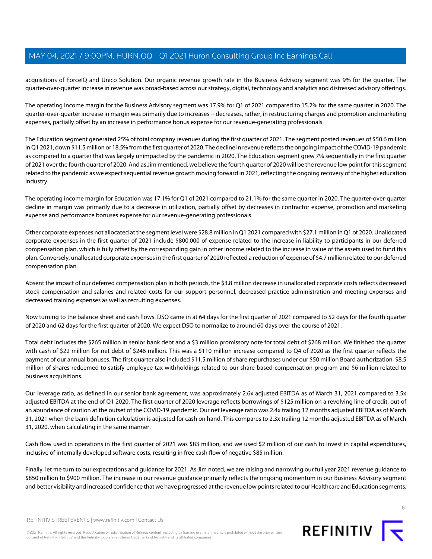acquisitions of ForceIQ and Unico Solution. Our organic revenue growth rate in the Business Advisory segment was 9% for the quarter. The quarter-over-quarter increase in revenue was broad-based across our strategy, digital, technology and analytics and distressed advisory offerings.

The operating income margin for the Business Advisory segment was 17.9% for Q1 of 2021 compared to 15.2% for the same quarter in 2020. The quarter-over-quarter increase in margin was primarily due to increases -- decreases, rather, in restructuring charges and promotion and marketing expenses, partially offset by an increase in performance bonus expense for our revenue-generating professionals.

The Education segment generated 25% of total company revenues during the first quarter of 2021. The segment posted revenues of \$50.6 million in Q1 2021, down \$11.5 million or 18.5% from the first quarter of 2020. The decline in revenue reflects the ongoing impact of the COVID-19 pandemic as compared to a quarter that was largely unimpacted by the pandemic in 2020. The Education segment grew 7% sequentially in the first quarter of 2021 over the fourth quarter of 2020. And as Jim mentioned, we believe the fourth quarter of 2020 will be the revenue low point for this segment related to the pandemic as we expect sequential revenue growth moving forward in 2021, reflecting the ongoing recovery of the higher education industry.

The operating income margin for Education was 17.1% for Q1 of 2021 compared to 21.1% for the same quarter in 2020. The quarter-over-quarter decline in margin was primarily due to a decrease in utilization, partially offset by decreases in contractor expense, promotion and marketing expense and performance bonuses expense for our revenue-generating professionals.

Other corporate expenses not allocated at the segment level were \$28.8 million in Q1 2021 compared with \$27.1 million in Q1 of 2020. Unallocated corporate expenses in the first quarter of 2021 include \$800,000 of expense related to the increase in liability to participants in our deferred compensation plan, which is fully offset by the corresponding gain in other income related to the increase in value of the assets used to fund this plan. Conversely, unallocated corporate expenses in the first quarter of 2020 reflected a reduction of expense of \$4.7 million related to our deferred compensation plan.

Absent the impact of our deferred compensation plan in both periods, the \$3.8 million decrease in unallocated corporate costs reflects decreased stock compensation and salaries and related costs for our support personnel, decreased practice administration and meeting expenses and decreased training expenses as well as recruiting expenses.

Now turning to the balance sheet and cash flows. DSO came in at 64 days for the first quarter of 2021 compared to 52 days for the fourth quarter of 2020 and 62 days for the first quarter of 2020. We expect DSO to normalize to around 60 days over the course of 2021.

Total debt includes the \$265 million in senior bank debt and a \$3 million promissory note for total debt of \$268 million. We finished the quarter with cash of \$22 million for net debt of \$246 million. This was a \$110 million increase compared to Q4 of 2020 as the first quarter reflects the payment of our annual bonuses. The first quarter also included \$11.5 million of share repurchases under our \$50 million Board authorization, \$8.5 million of shares redeemed to satisfy employee tax withholdings related to our share-based compensation program and \$6 million related to business acquisitions.

Our leverage ratio, as defined in our senior bank agreement, was approximately 2.6x adjusted EBITDA as of March 31, 2021 compared to 3.5x adjusted EBITDA at the end of Q1 2020. The first quarter of 2020 leverage reflects borrowings of \$125 million on a revolving line of credit, out of an abundance of caution at the outset of the COVID-19 pandemic. Our net leverage ratio was 2.4x trailing 12 months adjusted EBITDA as of March 31, 2021 when the bank definition calculation is adjusted for cash on hand. This compares to 2.3x trailing 12 months adjusted EBITDA as of March 31, 2020, when calculating in the same manner.

Cash flow used in operations in the first quarter of 2021 was \$83 million, and we used \$2 million of our cash to invest in capital expenditures, inclusive of internally developed software costs, resulting in free cash flow of negative \$85 million.

Finally, let me turn to our expectations and guidance for 2021. As Jim noted, we are raising and narrowing our full year 2021 revenue guidance to \$850 million to \$900 million. The increase in our revenue guidance primarily reflects the ongoing momentum in our Business Advisory segment and better visibility and increased confidence that we have progressed at the revenue low points related to our Healthcare and Education segments.



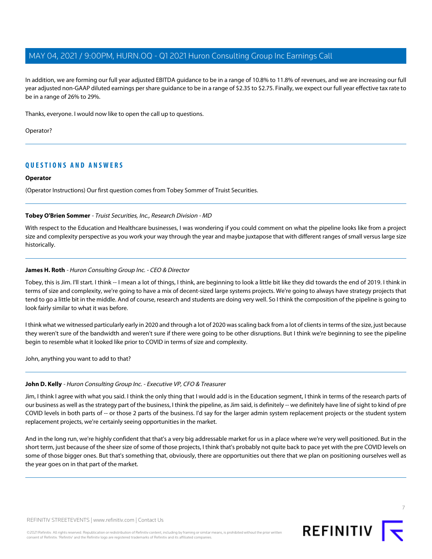In addition, we are forming our full year adjusted EBITDA guidance to be in a range of 10.8% to 11.8% of revenues, and we are increasing our full year adjusted non-GAAP diluted earnings per share guidance to be in a range of \$2.35 to \$2.75. Finally, we expect our full year effective tax rate to be in a range of 26% to 29%.

Thanks, everyone. I would now like to open the call up to questions.

Operator?

## **QUESTIONS AND ANSWERS**

### **Operator**

<span id="page-6-0"></span>(Operator Instructions) Our first question comes from Tobey Sommer of Truist Securities.

### **Tobey O'Brien Sommer** - Truist Securities, Inc., Research Division - MD

With respect to the Education and Healthcare businesses, I was wondering if you could comment on what the pipeline looks like from a project size and complexity perspective as you work your way through the year and maybe juxtapose that with different ranges of small versus large size historically.

### **James H. Roth** - Huron Consulting Group Inc. - CEO & Director

Tobey, this is Jim. I'll start. I think -- I mean a lot of things, I think, are beginning to look a little bit like they did towards the end of 2019. I think in terms of size and complexity, we're going to have a mix of decent-sized large systems projects. We're going to always have strategy projects that tend to go a little bit in the middle. And of course, research and students are doing very well. So I think the composition of the pipeline is going to look fairly similar to what it was before.

I think what we witnessed particularly early in 2020 and through a lot of 2020 was scaling back from a lot of clients in terms of the size, just because they weren't sure of the bandwidth and weren't sure if there were going to be other disruptions. But I think we're beginning to see the pipeline begin to resemble what it looked like prior to COVID in terms of size and complexity.

John, anything you want to add to that?

### **John D. Kelly** - Huron Consulting Group Inc. - Executive VP, CFO & Treasurer

Jim, I think I agree with what you said. I think the only thing that I would add is in the Education segment, I think in terms of the research parts of our business as well as the strategy part of the business, I think the pipeline, as Jim said, is definitely -- we definitely have line of sight to kind of pre COVID levels in both parts of -- or those 2 parts of the business. I'd say for the larger admin system replacement projects or the student system replacement projects, we're certainly seeing opportunities in the market.

And in the long run, we're highly confident that that's a very big addressable market for us in a place where we're very well positioned. But in the short term, just because of the sheer size of some of those projects, I think that's probably not quite back to pace yet with the pre COVID levels on some of those bigger ones. But that's something that, obviously, there are opportunities out there that we plan on positioning ourselves well as the year goes on in that part of the market.

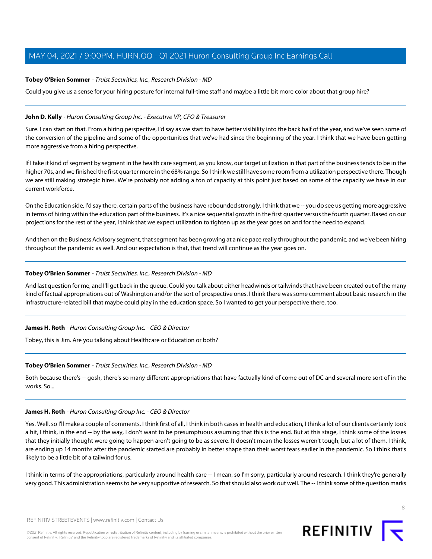### **Tobey O'Brien Sommer** - Truist Securities, Inc., Research Division - MD

Could you give us a sense for your hiring posture for internal full-time staff and maybe a little bit more color about that group hire?

### **John D. Kelly** - Huron Consulting Group Inc. - Executive VP, CFO & Treasurer

Sure. I can start on that. From a hiring perspective, I'd say as we start to have better visibility into the back half of the year, and we've seen some of the conversion of the pipeline and some of the opportunities that we've had since the beginning of the year. I think that we have been getting more aggressive from a hiring perspective.

If I take it kind of segment by segment in the health care segment, as you know, our target utilization in that part of the business tends to be in the higher 70s, and we finished the first quarter more in the 68% range. So I think we still have some room from a utilization perspective there. Though we are still making strategic hires. We're probably not adding a ton of capacity at this point just based on some of the capacity we have in our current workforce.

On the Education side, I'd say there, certain parts of the business have rebounded strongly. I think that we -- you do see us getting more aggressive in terms of hiring within the education part of the business. It's a nice sequential growth in the first quarter versus the fourth quarter. Based on our projections for the rest of the year, I think that we expect utilization to tighten up as the year goes on and for the need to expand.

And then on the Business Advisory segment, that segment has been growing at a nice pace really throughout the pandemic, and we've been hiring throughout the pandemic as well. And our expectation is that, that trend will continue as the year goes on.

### **Tobey O'Brien Sommer** - Truist Securities, Inc., Research Division - MD

And last question for me, and I'll get back in the queue. Could you talk about either headwinds or tailwinds that have been created out of the many kind of factual appropriations out of Washington and/or the sort of prospective ones. I think there was some comment about basic research in the infrastructure-related bill that maybe could play in the education space. So I wanted to get your perspective there, too.

#### **James H. Roth** - Huron Consulting Group Inc. - CEO & Director

Tobey, this is Jim. Are you talking about Healthcare or Education or both?

#### **Tobey O'Brien Sommer** - Truist Securities, Inc., Research Division - MD

Both because there's -- gosh, there's so many different appropriations that have factually kind of come out of DC and several more sort of in the works. So...

### **James H. Roth** - Huron Consulting Group Inc. - CEO & Director

Yes. Well, so I'll make a couple of comments. I think first of all, I think in both cases in health and education, I think a lot of our clients certainly took a hit, I think, in the end -- by the way, I don't want to be presumptuous assuming that this is the end. But at this stage, I think some of the losses that they initially thought were going to happen aren't going to be as severe. It doesn't mean the losses weren't tough, but a lot of them, I think, are ending up 14 months after the pandemic started are probably in better shape than their worst fears earlier in the pandemic. So I think that's likely to be a little bit of a tailwind for us.

I think in terms of the appropriations, particularly around health care -- I mean, so I'm sorry, particularly around research. I think they're generally very good. This administration seems to be very supportive of research. So that should also work out well. The -- I think some of the question marks

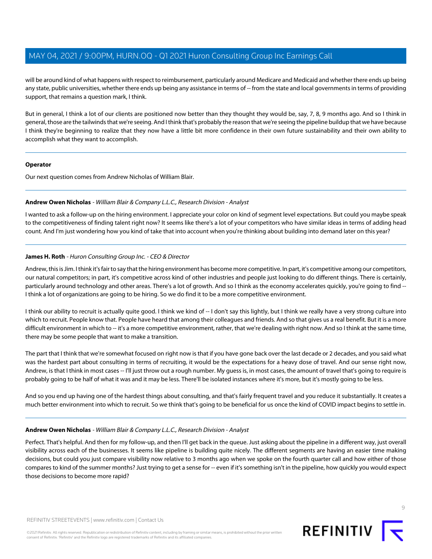will be around kind of what happens with respect to reimbursement, particularly around Medicare and Medicaid and whether there ends up being any state, public universities, whether there ends up being any assistance in terms of -- from the state and local governments in terms of providing support, that remains a question mark, I think.

But in general, I think a lot of our clients are positioned now better than they thought they would be, say, 7, 8, 9 months ago. And so I think in general, those are the tailwinds that we're seeing. And I think that's probably the reason that we're seeing the pipeline buildup that we have because I think they're beginning to realize that they now have a little bit more confidence in their own future sustainability and their own ability to accomplish what they want to accomplish.

### **Operator**

<span id="page-8-0"></span>Our next question comes from Andrew Nicholas of William Blair.

### **Andrew Owen Nicholas** - William Blair & Company L.L.C., Research Division - Analyst

I wanted to ask a follow-up on the hiring environment. I appreciate your color on kind of segment level expectations. But could you maybe speak to the competitiveness of finding talent right now? It seems like there's a lot of your competitors who have similar ideas in terms of adding head count. And I'm just wondering how you kind of take that into account when you're thinking about building into demand later on this year?

### **James H. Roth** - Huron Consulting Group Inc. - CEO & Director

Andrew, this is Jim. I think it's fair to say that the hiring environment has become more competitive. In part, it's competitive among our competitors, our natural competitors; in part, it's competitive across kind of other industries and people just looking to do different things. There is certainly, particularly around technology and other areas. There's a lot of growth. And so I think as the economy accelerates quickly, you're going to find --I think a lot of organizations are going to be hiring. So we do find it to be a more competitive environment.

I think our ability to recruit is actually quite good. I think we kind of -- I don't say this lightly, but I think we really have a very strong culture into which to recruit. People know that. People have heard that among their colleagues and friends. And so that gives us a real benefit. But it is a more difficult environment in which to -- it's a more competitive environment, rather, that we're dealing with right now. And so I think at the same time, there may be some people that want to make a transition.

The part that I think that we're somewhat focused on right now is that if you have gone back over the last decade or 2 decades, and you said what was the hardest part about consulting in terms of recruiting, it would be the expectations for a heavy dose of travel. And our sense right now, Andrew, is that I think in most cases -- I'll just throw out a rough number. My guess is, in most cases, the amount of travel that's going to require is probably going to be half of what it was and it may be less. There'll be isolated instances where it's more, but it's mostly going to be less.

And so you end up having one of the hardest things about consulting, and that's fairly frequent travel and you reduce it substantially. It creates a much better environment into which to recruit. So we think that's going to be beneficial for us once the kind of COVID impact begins to settle in.

### **Andrew Owen Nicholas** - William Blair & Company L.L.C., Research Division - Analyst

Perfect. That's helpful. And then for my follow-up, and then I'll get back in the queue. Just asking about the pipeline in a different way, just overall visibility across each of the businesses. It seems like pipeline is building quite nicely. The different segments are having an easier time making decisions, but could you just compare visibility now relative to 3 months ago when we spoke on the fourth quarter call and how either of those compares to kind of the summer months? Just trying to get a sense for -- even if it's something isn't in the pipeline, how quickly you would expect those decisions to become more rapid?

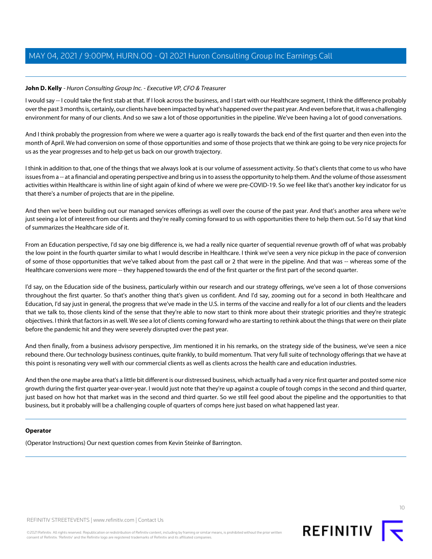### **John D. Kelly** - Huron Consulting Group Inc. - Executive VP, CFO & Treasurer

I would say -- I could take the first stab at that. If I look across the business, and I start with our Healthcare segment, I think the difference probably over the past 3 months is, certainly, our clients have been impacted by what's happened over the past year. And even before that, it was a challenging environment for many of our clients. And so we saw a lot of those opportunities in the pipeline. We've been having a lot of good conversations.

And I think probably the progression from where we were a quarter ago is really towards the back end of the first quarter and then even into the month of April. We had conversion on some of those opportunities and some of those projects that we think are going to be very nice projects for us as the year progresses and to help get us back on our growth trajectory.

I think in addition to that, one of the things that we always look at is our volume of assessment activity. So that's clients that come to us who have issues from a -- at a financial and operating perspective and bring us in to assess the opportunity to help them. And the volume of those assessment activities within Healthcare is within line of sight again of kind of where we were pre-COVID-19. So we feel like that's another key indicator for us that there's a number of projects that are in the pipeline.

And then we've been building out our managed services offerings as well over the course of the past year. And that's another area where we're just seeing a lot of interest from our clients and they're really coming forward to us with opportunities there to help them out. So I'd say that kind of summarizes the Healthcare side of it.

From an Education perspective, I'd say one big difference is, we had a really nice quarter of sequential revenue growth off of what was probably the low point in the fourth quarter similar to what I would describe in Healthcare. I think we've seen a very nice pickup in the pace of conversion of some of those opportunities that we've talked about from the past call or 2 that were in the pipeline. And that was -- whereas some of the Healthcare conversions were more -- they happened towards the end of the first quarter or the first part of the second quarter.

I'd say, on the Education side of the business, particularly within our research and our strategy offerings, we've seen a lot of those conversions throughout the first quarter. So that's another thing that's given us confident. And I'd say, zooming out for a second in both Healthcare and Education, I'd say just in general, the progress that we've made in the U.S. in terms of the vaccine and really for a lot of our clients and the leaders that we talk to, those clients kind of the sense that they're able to now start to think more about their strategic priorities and they're strategic objectives. I think that factors in as well. We see a lot of clients coming forward who are starting to rethink about the things that were on their plate before the pandemic hit and they were severely disrupted over the past year.

And then finally, from a business advisory perspective, Jim mentioned it in his remarks, on the strategy side of the business, we've seen a nice rebound there. Our technology business continues, quite frankly, to build momentum. That very full suite of technology offerings that we have at this point is resonating very well with our commercial clients as well as clients across the health care and education industries.

And then the one maybe area that's a little bit different is our distressed business, which actually had a very nice first quarter and posted some nice growth during the first quarter year-over-year. I would just note that they're up against a couple of tough comps in the second and third quarter, just based on how hot that market was in the second and third quarter. So we still feel good about the pipeline and the opportunities to that business, but it probably will be a challenging couple of quarters of comps here just based on what happened last year.

### **Operator**

(Operator Instructions) Our next question comes from Kevin Steinke of Barrington.



REFINITIV STREETEVENTS | [www.refinitiv.com](https://www.refinitiv.com/) | [Contact Us](https://www.refinitiv.com/en/contact-us)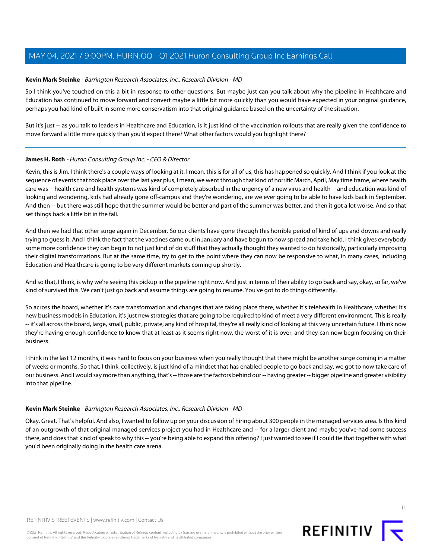### <span id="page-10-0"></span>**Kevin Mark Steinke** - Barrington Research Associates, Inc., Research Division - MD

So I think you've touched on this a bit in response to other questions. But maybe just can you talk about why the pipeline in Healthcare and Education has continued to move forward and convert maybe a little bit more quickly than you would have expected in your original guidance, perhaps you had kind of built in some more conservatism into that original guidance based on the uncertainty of the situation.

But it's just -- as you talk to leaders in Healthcare and Education, is it just kind of the vaccination rollouts that are really given the confidence to move forward a little more quickly than you'd expect there? What other factors would you highlight there?

### **James H. Roth** - Huron Consulting Group Inc. - CEO & Director

Kevin, this is Jim. I think there's a couple ways of looking at it. I mean, this is for all of us, this has happened so quickly. And I think if you look at the sequence of events that took place over the last year plus, I mean, we went through that kind of horrific March, April, May time frame, where health care was -- health care and health systems was kind of completely absorbed in the urgency of a new virus and health -- and education was kind of looking and wondering, kids had already gone off-campus and they're wondering, are we ever going to be able to have kids back in September. And then -- but there was still hope that the summer would be better and part of the summer was better, and then it got a lot worse. And so that set things back a little bit in the fall.

And then we had that other surge again in December. So our clients have gone through this horrible period of kind of ups and downs and really trying to guess it. And I think the fact that the vaccines came out in January and have begun to now spread and take hold, I think gives everybody some more confidence they can begin to not just kind of do stuff that they actually thought they wanted to do historically, particularly improving their digital transformations. But at the same time, try to get to the point where they can now be responsive to what, in many cases, including Education and Healthcare is going to be very different markets coming up shortly.

And so that, I think, is why we're seeing this pickup in the pipeline right now. And just in terms of their ability to go back and say, okay, so far, we've kind of survived this. We can't just go back and assume things are going to resume. You've got to do things differently.

So across the board, whether it's care transformation and changes that are taking place there, whether it's telehealth in Healthcare, whether it's new business models in Education, it's just new strategies that are going to be required to kind of meet a very different environment. This is really -- it's all across the board, large, small, public, private, any kind of hospital, they're all really kind of looking at this very uncertain future. I think now they're having enough confidence to know that at least as it seems right now, the worst of it is over, and they can now begin focusing on their business.

I think in the last 12 months, it was hard to focus on your business when you really thought that there might be another surge coming in a matter of weeks or months. So that, I think, collectively, is just kind of a mindset that has enabled people to go back and say, we got to now take care of our business. And I would say more than anything, that's -- those are the factors behind our -- having greater -- bigger pipeline and greater visibility into that pipeline.

#### **Kevin Mark Steinke** - Barrington Research Associates, Inc., Research Division - MD

Okay. Great. That's helpful. And also, I wanted to follow up on your discussion of hiring about 300 people in the managed services area. Is this kind of an outgrowth of that original managed services project you had in Healthcare and -- for a larger client and maybe you've had some success there, and does that kind of speak to why this -- you're being able to expand this offering? I just wanted to see if I could tie that together with what you'd been originally doing in the health care arena.

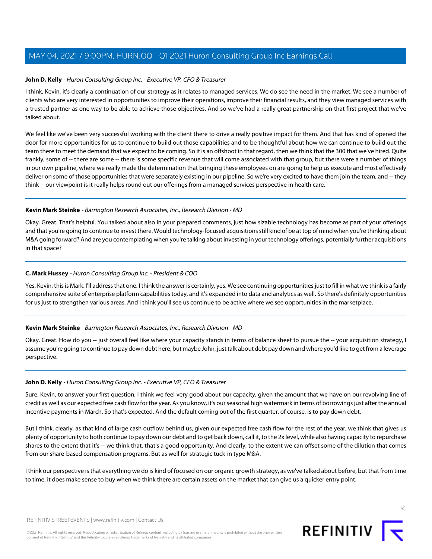### **John D. Kelly** - Huron Consulting Group Inc. - Executive VP, CFO & Treasurer

I think, Kevin, it's clearly a continuation of our strategy as it relates to managed services. We do see the need in the market. We see a number of clients who are very interested in opportunities to improve their operations, improve their financial results, and they view managed services with a trusted partner as one way to be able to achieve those objectives. And so we've had a really great partnership on that first project that we've talked about.

We feel like we've been very successful working with the client there to drive a really positive impact for them. And that has kind of opened the door for more opportunities for us to continue to build out those capabilities and to be thoughtful about how we can continue to build out the team there to meet the demand that we expect to be coming. So it is an offshoot in that regard, then we think that the 300 that we've hired. Quite frankly, some of -- there are some -- there is some specific revenue that will come associated with that group, but there were a number of things in our own pipeline, where we really made the determination that bringing these employees on are going to help us execute and most effectively deliver on some of those opportunities that were separately existing in our pipeline. So we're very excited to have them join the team, and -- they think -- our viewpoint is it really helps round out our offerings from a managed services perspective in health care.

### **Kevin Mark Steinke** - Barrington Research Associates, Inc., Research Division - MD

<span id="page-11-0"></span>Okay. Great. That's helpful. You talked about also in your prepared comments, just how sizable technology has become as part of your offerings and that you're going to continue to invest there. Would technology-focused acquisitions still kind of be at top of mind when you're thinking about M&A going forward? And are you contemplating when you're talking about investing in your technology offerings, potentially further acquisitions in that space?

### **C. Mark Hussey** - Huron Consulting Group Inc. - President & COO

Yes. Kevin, this is Mark. I'll address that one. I think the answer is certainly, yes. We see continuing opportunities just to fill in what we think is a fairly comprehensive suite of enterprise platform capabilities today, and it's expanded into data and analytics as well. So there's definitely opportunities for us just to strengthen various areas. And I think you'll see us continue to be active where we see opportunities in the marketplace.

#### **Kevin Mark Steinke** - Barrington Research Associates, Inc., Research Division - MD

Okay. Great. How do you -- just overall feel like where your capacity stands in terms of balance sheet to pursue the -- your acquisition strategy, I assume you're going to continue to pay down debt here, but maybe John, just talk about debt pay down and where you'd like to get from a leverage perspective.

#### **John D. Kelly** - Huron Consulting Group Inc. - Executive VP, CFO & Treasurer

Sure. Kevin, to answer your first question, I think we feel very good about our capacity, given the amount that we have on our revolving line of credit as well as our expected free cash flow for the year. As you know, it's our seasonal high watermark in terms of borrowings just after the annual incentive payments in March. So that's expected. And the default coming out of the first quarter, of course, is to pay down debt.

But I think, clearly, as that kind of large cash outflow behind us, given our expected free cash flow for the rest of the year, we think that gives us plenty of opportunity to both continue to pay down our debt and to get back down, call it, to the 2x level, while also having capacity to repurchase shares to the extent that it's -- we think that, that's a good opportunity. And clearly, to the extent we can offset some of the dilution that comes from our share-based compensation programs. But as well for strategic tuck-in type M&A.

I think our perspective is that everything we do is kind of focused on our organic growth strategy, as we've talked about before, but that from time to time, it does make sense to buy when we think there are certain assets on the market that can give us a quicker entry point.

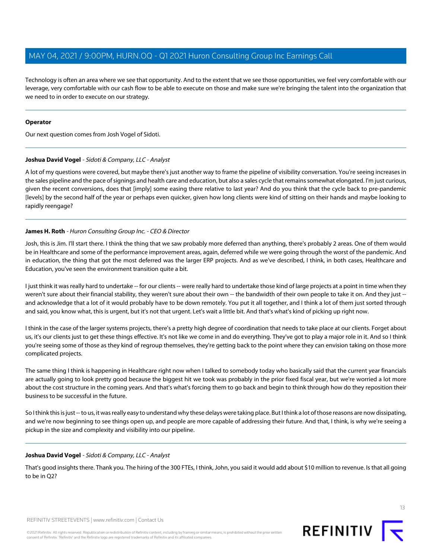Technology is often an area where we see that opportunity. And to the extent that we see those opportunities, we feel very comfortable with our leverage, very comfortable with our cash flow to be able to execute on those and make sure we're bringing the talent into the organization that we need to in order to execute on our strategy.

### **Operator**

<span id="page-12-0"></span>Our next question comes from Josh Vogel of Sidoti.

### **Joshua David Vogel** - Sidoti & Company, LLC - Analyst

A lot of my questions were covered, but maybe there's just another way to frame the pipeline of visibility conversation. You're seeing increases in the sales pipeline and the pace of signings and health care and education, but also a sales cycle that remains somewhat elongated. I'm just curious, given the recent conversions, does that [imply] some easing there relative to last year? And do you think that the cycle back to pre-pandemic [levels] by the second half of the year or perhaps even quicker, given how long clients were kind of sitting on their hands and maybe looking to rapidly reengage?

### **James H. Roth** - Huron Consulting Group Inc. - CEO & Director

Josh, this is Jim. I'll start there. I think the thing that we saw probably more deferred than anything, there's probably 2 areas. One of them would be in Healthcare and some of the performance improvement areas, again, deferred while we were going through the worst of the pandemic. And in education, the thing that got the most deferred was the larger ERP projects. And as we've described, I think, in both cases, Healthcare and Education, you've seen the environment transition quite a bit.

I just think it was really hard to undertake -- for our clients -- were really hard to undertake those kind of large projects at a point in time when they weren't sure about their financial stability, they weren't sure about their own -- the bandwidth of their own people to take it on. And they just -and acknowledge that a lot of it would probably have to be down remotely. You put it all together, and I think a lot of them just sorted through and said, you know what, this is urgent, but it's not that urgent. Let's wait a little bit. And that's what's kind of picking up right now.

I think in the case of the larger systems projects, there's a pretty high degree of coordination that needs to take place at our clients. Forget about us, it's our clients just to get these things effective. It's not like we come in and do everything. They've got to play a major role in it. And so I think you're seeing some of those as they kind of regroup themselves, they're getting back to the point where they can envision taking on those more complicated projects.

The same thing I think is happening in Healthcare right now when I talked to somebody today who basically said that the current year financials are actually going to look pretty good because the biggest hit we took was probably in the prior fixed fiscal year, but we're worried a lot more about the cost structure in the coming years. And that's what's forcing them to go back and begin to think through how do they reposition their business to be successful in the future.

So I think this is just -- to us, it was really easy to understand why these delays were taking place. But I think a lot of those reasons are now dissipating, and we're now beginning to see things open up, and people are more capable of addressing their future. And that, I think, is why we're seeing a pickup in the size and complexity and visibility into our pipeline.

### **Joshua David Vogel** - Sidoti & Company, LLC - Analyst

That's good insights there. Thank you. The hiring of the 300 FTEs, I think, John, you said it would add about \$10 million to revenue. Is that all going to be in Q2?

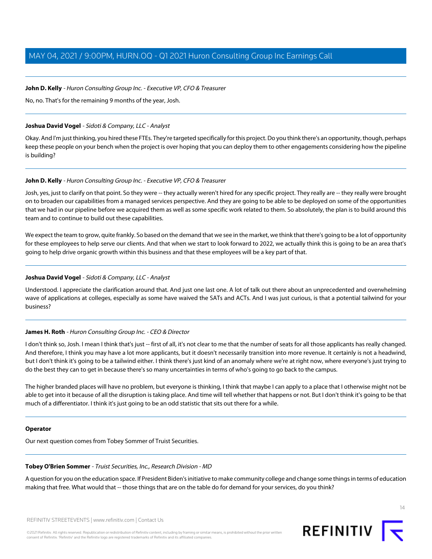### **John D. Kelly** - Huron Consulting Group Inc. - Executive VP, CFO & Treasurer

No, no. That's for the remaining 9 months of the year, Josh.

### **Joshua David Vogel** - Sidoti & Company, LLC - Analyst

Okay. And I'm just thinking, you hired these FTEs. They're targeted specifically for this project. Do you think there's an opportunity, though, perhaps keep these people on your bench when the project is over hoping that you can deploy them to other engagements considering how the pipeline is building?

### **John D. Kelly** - Huron Consulting Group Inc. - Executive VP, CFO & Treasurer

Josh, yes, just to clarify on that point. So they were -- they actually weren't hired for any specific project. They really are -- they really were brought on to broaden our capabilities from a managed services perspective. And they are going to be able to be deployed on some of the opportunities that we had in our pipeline before we acquired them as well as some specific work related to them. So absolutely, the plan is to build around this team and to continue to build out these capabilities.

We expect the team to grow, quite frankly. So based on the demand that we see in the market, we think that there's going to be a lot of opportunity for these employees to help serve our clients. And that when we start to look forward to 2022, we actually think this is going to be an area that's going to help drive organic growth within this business and that these employees will be a key part of that.

### **Joshua David Vogel** - Sidoti & Company, LLC - Analyst

Understood. I appreciate the clarification around that. And just one last one. A lot of talk out there about an unprecedented and overwhelming wave of applications at colleges, especially as some have waived the SATs and ACTs. And I was just curious, is that a potential tailwind for your business?

### **James H. Roth** - Huron Consulting Group Inc. - CEO & Director

I don't think so, Josh. I mean I think that's just -- first of all, it's not clear to me that the number of seats for all those applicants has really changed. And therefore, I think you may have a lot more applicants, but it doesn't necessarily transition into more revenue. It certainly is not a headwind, but I don't think it's going to be a tailwind either. I think there's just kind of an anomaly where we're at right now, where everyone's just trying to do the best they can to get in because there's so many uncertainties in terms of who's going to go back to the campus.

The higher branded places will have no problem, but everyone is thinking, I think that maybe I can apply to a place that I otherwise might not be able to get into it because of all the disruption is taking place. And time will tell whether that happens or not. But I don't think it's going to be that much of a differentiator. I think it's just going to be an odd statistic that sits out there for a while.

### **Operator**

Our next question comes from Tobey Sommer of Truist Securities.

### **Tobey O'Brien Sommer** - Truist Securities, Inc., Research Division - MD

A question for you on the education space. If President Biden's initiative to make community college and change some things in terms of education making that free. What would that -- those things that are on the table do for demand for your services, do you think?